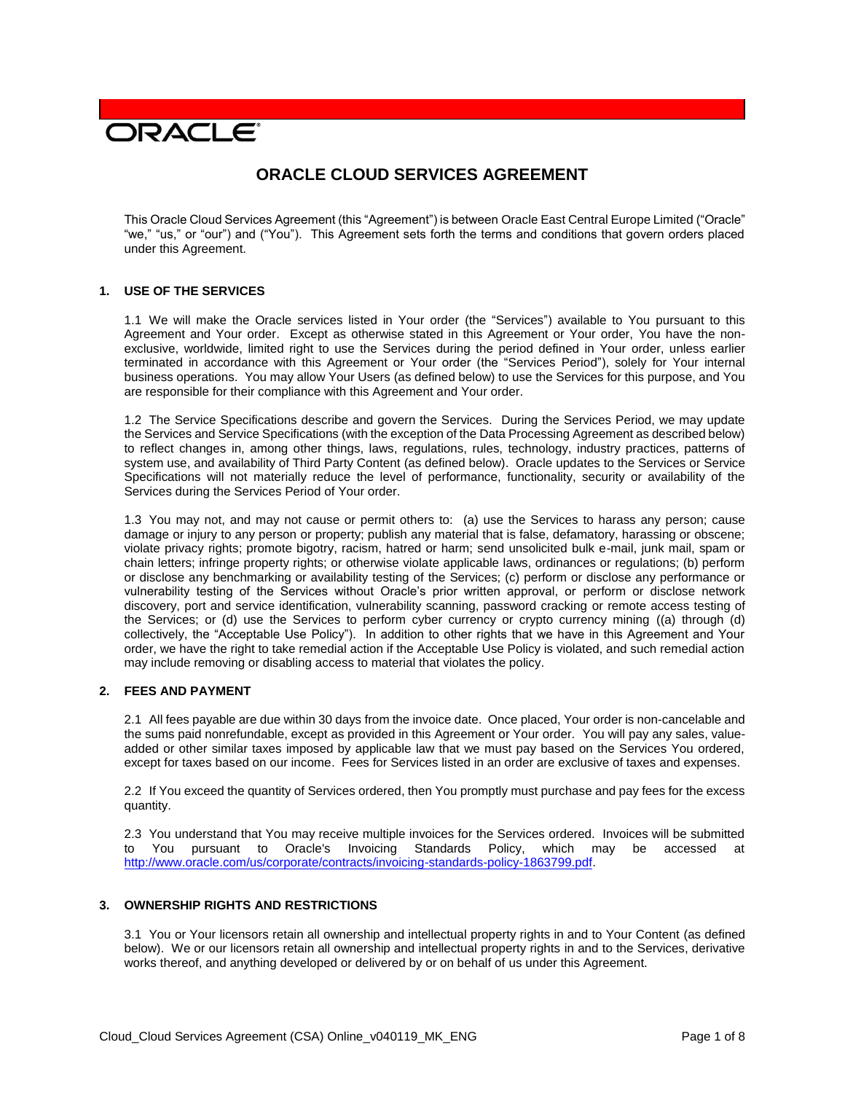# **DRACLE**

# **ORACLE CLOUD SERVICES AGREEMENT**

This Oracle Cloud Services Agreement (this "Agreement") is between Oracle East Central Europe Limited ("Oracle" "we," "us," or "our") and ("You"). This Agreement sets forth the terms and conditions that govern orders placed under this Agreement.

#### **1. USE OF THE SERVICES**

1.1 We will make the Oracle services listed in Your order (the "Services") available to You pursuant to this Agreement and Your order. Except as otherwise stated in this Agreement or Your order, You have the nonexclusive, worldwide, limited right to use the Services during the period defined in Your order, unless earlier terminated in accordance with this Agreement or Your order (the "Services Period"), solely for Your internal business operations. You may allow Your Users (as defined below) to use the Services for this purpose, and You are responsible for their compliance with this Agreement and Your order.

1.2 The Service Specifications describe and govern the Services. During the Services Period, we may update the Services and Service Specifications (with the exception of the Data Processing Agreement as described below) to reflect changes in, among other things, laws, regulations, rules, technology, industry practices, patterns of system use, and availability of Third Party Content (as defined below). Oracle updates to the Services or Service Specifications will not materially reduce the level of performance, functionality, security or availability of the Services during the Services Period of Your order.

1.3 You may not, and may not cause or permit others to: (a) use the Services to harass any person; cause damage or injury to any person or property; publish any material that is false, defamatory, harassing or obscene; violate privacy rights; promote bigotry, racism, hatred or harm; send unsolicited bulk e-mail, junk mail, spam or chain letters; infringe property rights; or otherwise violate applicable laws, ordinances or regulations; (b) perform or disclose any benchmarking or availability testing of the Services; (c) perform or disclose any performance or vulnerability testing of the Services without Oracle's prior written approval, or perform or disclose network discovery, port and service identification, vulnerability scanning, password cracking or remote access testing of the Services; or (d) use the Services to perform cyber currency or crypto currency mining ((a) through (d) collectively, the "Acceptable Use Policy"). In addition to other rights that we have in this Agreement and Your order, we have the right to take remedial action if the Acceptable Use Policy is violated, and such remedial action may include removing or disabling access to material that violates the policy.

# **2. FEES AND PAYMENT**

2.1 All fees payable are due within 30 days from the invoice date. Once placed, Your order is non-cancelable and the sums paid nonrefundable, except as provided in this Agreement or Your order. You will pay any sales, valueadded or other similar taxes imposed by applicable law that we must pay based on the Services You ordered, except for taxes based on our income. Fees for Services listed in an order are exclusive of taxes and expenses.

2.2 If You exceed the quantity of Services ordered, then You promptly must purchase and pay fees for the excess quantity.

2.3 You understand that You may receive multiple invoices for the Services ordered. Invoices will be submitted to You pursuant to Oracle's Invoicing Standards Policy, which may be accessed at [http://www.oracle.com/us/corporate/contracts/invoicing-standards-policy-1863799.pdf.](http://www.oracle.com/us/corporate/contracts/invoicing-standards-policy-1863799.pdf)

#### **3. OWNERSHIP RIGHTS AND RESTRICTIONS**

3.1 You or Your licensors retain all ownership and intellectual property rights in and to Your Content (as defined below). We or our licensors retain all ownership and intellectual property rights in and to the Services, derivative works thereof, and anything developed or delivered by or on behalf of us under this Agreement.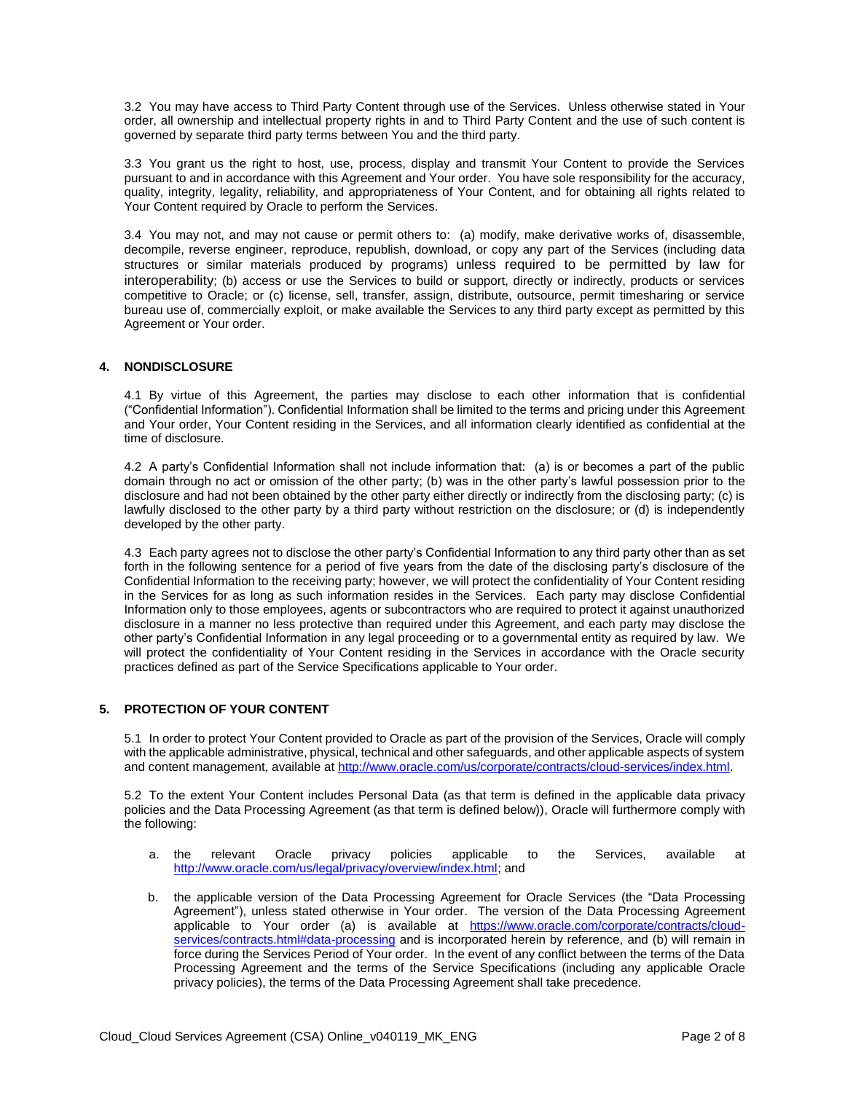3.2 You may have access to Third Party Content through use of the Services. Unless otherwise stated in Your order, all ownership and intellectual property rights in and to Third Party Content and the use of such content is governed by separate third party terms between You and the third party.

3.3 You grant us the right to host, use, process, display and transmit Your Content to provide the Services pursuant to and in accordance with this Agreement and Your order. You have sole responsibility for the accuracy, quality, integrity, legality, reliability, and appropriateness of Your Content, and for obtaining all rights related to Your Content required by Oracle to perform the Services.

3.4 You may not, and may not cause or permit others to: (a) modify, make derivative works of, disassemble, decompile, reverse engineer, reproduce, republish, download, or copy any part of the Services (including data structures or similar materials produced by programs) unless required to be permitted by law for interoperability; (b) access or use the Services to build or support, directly or indirectly, products or services competitive to Oracle; or (c) license, sell, transfer, assign, distribute, outsource, permit timesharing or service bureau use of, commercially exploit, or make available the Services to any third party except as permitted by this Agreement or Your order.

#### **4. NONDISCLOSURE**

4.1 By virtue of this Agreement, the parties may disclose to each other information that is confidential ("Confidential Information"). Confidential Information shall be limited to the terms and pricing under this Agreement and Your order, Your Content residing in the Services, and all information clearly identified as confidential at the time of disclosure.

4.2 A party's Confidential Information shall not include information that: (a) is or becomes a part of the public domain through no act or omission of the other party; (b) was in the other party's lawful possession prior to the disclosure and had not been obtained by the other party either directly or indirectly from the disclosing party; (c) is lawfully disclosed to the other party by a third party without restriction on the disclosure; or (d) is independently developed by the other party.

4.3 Each party agrees not to disclose the other party's Confidential Information to any third party other than as set forth in the following sentence for a period of five years from the date of the disclosing party's disclosure of the Confidential Information to the receiving party; however, we will protect the confidentiality of Your Content residing in the Services for as long as such information resides in the Services. Each party may disclose Confidential Information only to those employees, agents or subcontractors who are required to protect it against unauthorized disclosure in a manner no less protective than required under this Agreement, and each party may disclose the other party's Confidential Information in any legal proceeding or to a governmental entity as required by law. We will protect the confidentiality of Your Content residing in the Services in accordance with the Oracle security practices defined as part of the Service Specifications applicable to Your order.

# **5. PROTECTION OF YOUR CONTENT**

5.1 In order to protect Your Content provided to Oracle as part of the provision of the Services, Oracle will comply with the applicable administrative, physical, technical and other safeguards, and other applicable aspects of system and content management, available at [http://www.oracle.com/us/corporate/contracts/cloud-services/index.html.](http://www.oracle.com/us/corporate/contracts/cloud-services/index.html)

5.2 To the extent Your Content includes Personal Data (as that term is defined in the applicable data privacy policies and the Data Processing Agreement (as that term is defined below)), Oracle will furthermore comply with the following:

- a. the relevant Oracle privacy policies applicable to the Services, available at [http://www.oracle.com/us/legal/privacy/overview/index.html;](http://www.oracle.com/us/legal/privacy/overview/index.html) and
- b. the applicable version of the Data Processing Agreement for Oracle Services (the "Data Processing Agreement"), unless stated otherwise in Your order. The version of the Data Processing Agreement applicable to Your order (a) is available at [https://www.oracle.com/corporate/contracts/cloud](https://www.oracle.com/corporate/contracts/cloud-services/contracts.html#data-processing)[services/contracts.html#data-processing](https://www.oracle.com/corporate/contracts/cloud-services/contracts.html#data-processing) and is incorporated herein by reference, and (b) will remain in force during the Services Period of Your order. In the event of any conflict between the terms of the Data Processing Agreement and the terms of the Service Specifications (including any applicable Oracle privacy policies), the terms of the Data Processing Agreement shall take precedence.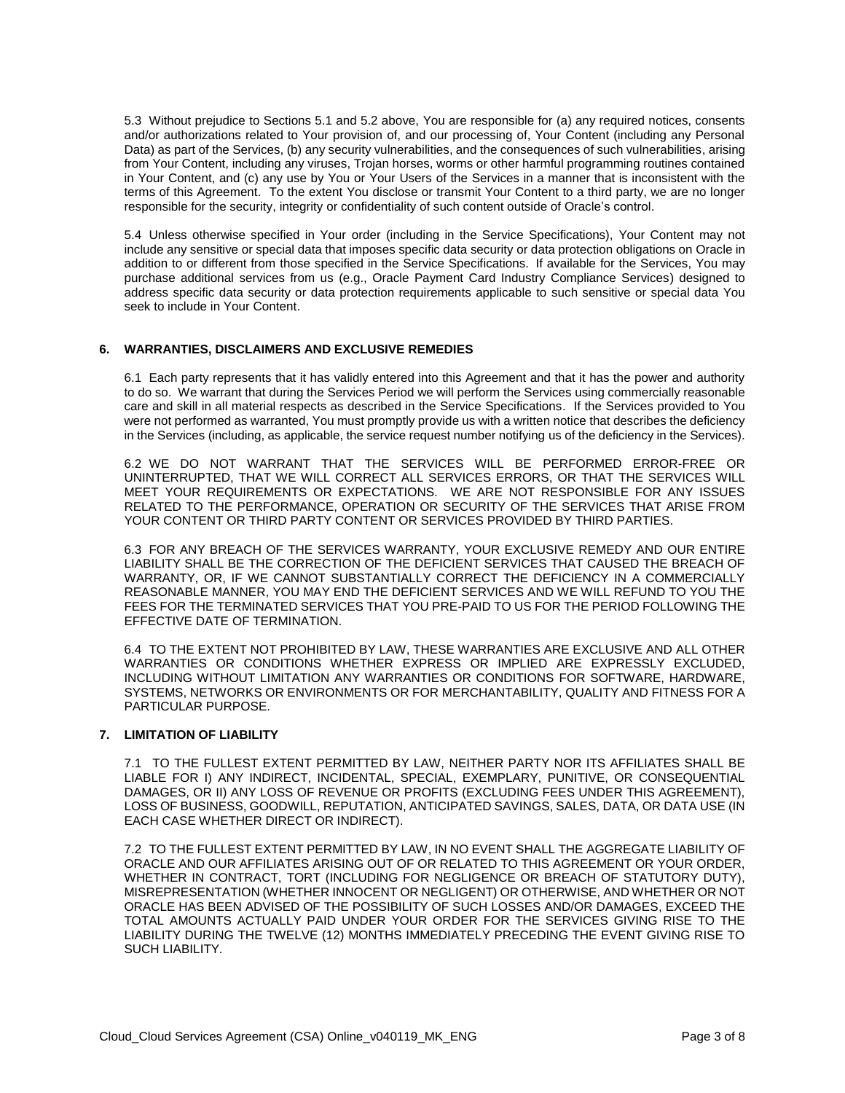5.3 Without prejudice to Sections 5.1 and 5.2 above, You are responsible for (a) any required notices, consents and/or authorizations related to Your provision of, and our processing of, Your Content (including any Personal Data) as part of the Services, (b) any security vulnerabilities, and the consequences of such vulnerabilities, arising from Your Content, including any viruses, Trojan horses, worms or other harmful programming routines contained in Your Content, and (c) any use by You or Your Users of the Services in a manner that is inconsistent with the terms of this Agreement. To the extent You disclose or transmit Your Content to a third party, we are no longer responsible for the security, integrity or confidentiality of such content outside of Oracle's control.

5.4 Unless otherwise specified in Your order (including in the Service Specifications), Your Content may not include any sensitive or special data that imposes specific data security or data protection obligations on Oracle in addition to or different from those specified in the Service Specifications. If available for the Services, You may purchase additional services from us (e.g., Oracle Payment Card Industry Compliance Services) designed to address specific data security or data protection requirements applicable to such sensitive or special data You seek to include in Your Content.

# **6. WARRANTIES, DISCLAIMERS AND EXCLUSIVE REMEDIES**

6.1 Each party represents that it has validly entered into this Agreement and that it has the power and authority to do so. We warrant that during the Services Period we will perform the Services using commercially reasonable care and skill in all material respects as described in the Service Specifications. If the Services provided to You were not performed as warranted, You must promptly provide us with a written notice that describes the deficiency in the Services (including, as applicable, the service request number notifying us of the deficiency in the Services).

6.2 WE DO NOT WARRANT THAT THE SERVICES WILL BE PERFORMED ERROR-FREE OR UNINTERRUPTED, THAT WE WILL CORRECT ALL SERVICES ERRORS, OR THAT THE SERVICES WILL MEET YOUR REQUIREMENTS OR EXPECTATIONS. WE ARE NOT RESPONSIBLE FOR ANY ISSUES RELATED TO THE PERFORMANCE, OPERATION OR SECURITY OF THE SERVICES THAT ARISE FROM YOUR CONTENT OR THIRD PARTY CONTENT OR SERVICES PROVIDED BY THIRD PARTIES.

6.3 FOR ANY BREACH OF THE SERVICES WARRANTY, YOUR EXCLUSIVE REMEDY AND OUR ENTIRE LIABILITY SHALL BE THE CORRECTION OF THE DEFICIENT SERVICES THAT CAUSED THE BREACH OF WARRANTY, OR, IF WE CANNOT SUBSTANTIALLY CORRECT THE DEFICIENCY IN A COMMERCIALLY REASONABLE MANNER, YOU MAY END THE DEFICIENT SERVICES AND WE WILL REFUND TO YOU THE FEES FOR THE TERMINATED SERVICES THAT YOU PRE-PAID TO US FOR THE PERIOD FOLLOWING THE EFFECTIVE DATE OF TERMINATION.

6.4 TO THE EXTENT NOT PROHIBITED BY LAW, THESE WARRANTIES ARE EXCLUSIVE AND ALL OTHER WARRANTIES OR CONDITIONS WHETHER EXPRESS OR IMPLIED ARE EXPRESSLY EXCLUDED, INCLUDING WITHOUT LIMITATION ANY WARRANTIES OR CONDITIONS FOR SOFTWARE, HARDWARE, SYSTEMS, NETWORKS OR ENVIRONMENTS OR FOR MERCHANTABILITY, QUALITY AND FITNESS FOR A PARTICULAR PURPOSE.

#### **7. LIMITATION OF LIABILITY**

7.1 TO THE FULLEST EXTENT PERMITTED BY LAW, NEITHER PARTY NOR ITS AFFILIATES SHALL BE LIABLE FOR I) ANY INDIRECT, INCIDENTAL, SPECIAL, EXEMPLARY, PUNITIVE, OR CONSEQUENTIAL DAMAGES, OR II) ANY LOSS OF REVENUE OR PROFITS (EXCLUDING FEES UNDER THIS AGREEMENT), LOSS OF BUSINESS, GOODWILL, REPUTATION, ANTICIPATED SAVINGS, SALES, DATA, OR DATA USE (IN EACH CASE WHETHER DIRECT OR INDIRECT).

7.2 TO THE FULLEST EXTENT PERMITTED BY LAW, IN NO EVENT SHALL THE AGGREGATE LIABILITY OF ORACLE AND OUR AFFILIATES ARISING OUT OF OR RELATED TO THIS AGREEMENT OR YOUR ORDER, WHETHER IN CONTRACT, TORT (INCLUDING FOR NEGLIGENCE OR BREACH OF STATUTORY DUTY), MISREPRESENTATION (WHETHER INNOCENT OR NEGLIGENT) OR OTHERWISE, AND WHETHER OR NOT ORACLE HAS BEEN ADVISED OF THE POSSIBILITY OF SUCH LOSSES AND/OR DAMAGES, EXCEED THE TOTAL AMOUNTS ACTUALLY PAID UNDER YOUR ORDER FOR THE SERVICES GIVING RISE TO THE LIABILITY DURING THE TWELVE (12) MONTHS IMMEDIATELY PRECEDING THE EVENT GIVING RISE TO SUCH LIABILITY.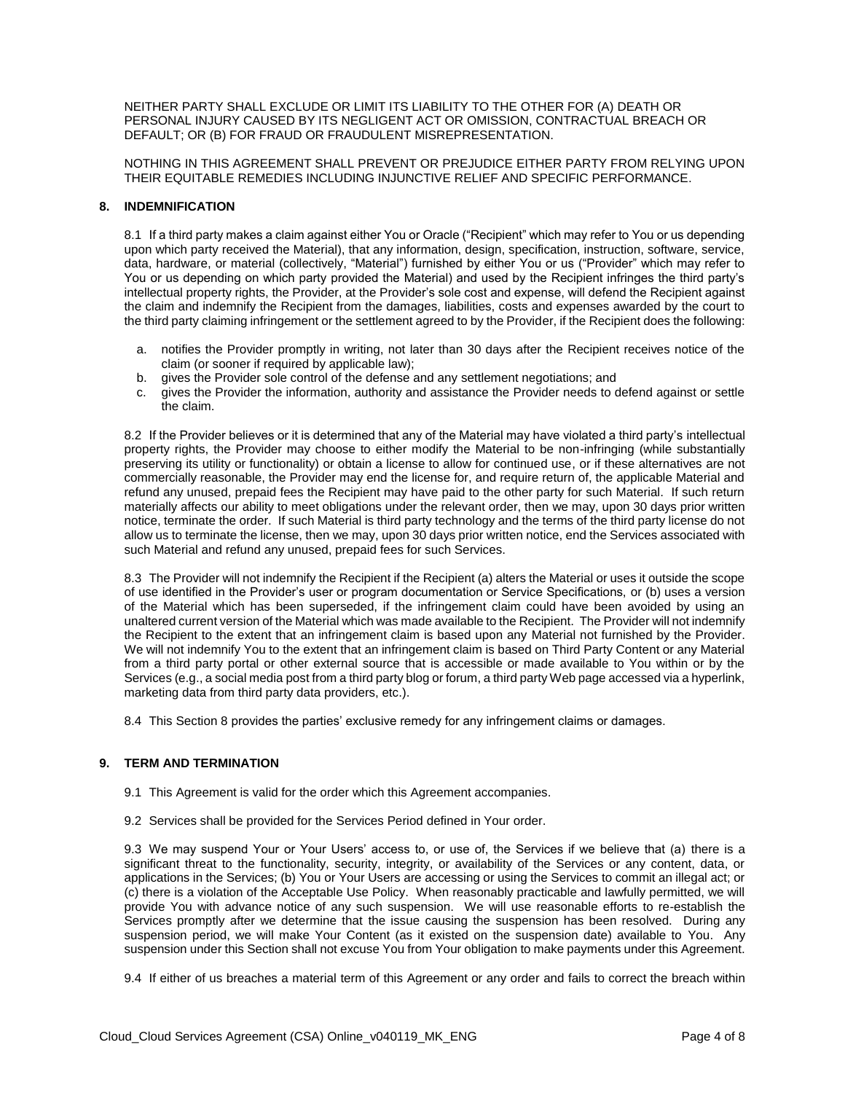NEITHER PARTY SHALL EXCLUDE OR LIMIT ITS LIABILITY TO THE OTHER FOR (A) DEATH OR PERSONAL INJURY CAUSED BY ITS NEGLIGENT ACT OR OMISSION, CONTRACTUAL BREACH OR DEFAULT; OR (B) FOR FRAUD OR FRAUDULENT MISREPRESENTATION.

NOTHING IN THIS AGREEMENT SHALL PREVENT OR PREJUDICE EITHER PARTY FROM RELYING UPON THEIR EQUITABLE REMEDIES INCLUDING INJUNCTIVE RELIEF AND SPECIFIC PERFORMANCE.

#### **8. INDEMNIFICATION**

8.1 If a third party makes a claim against either You or Oracle ("Recipient" which may refer to You or us depending upon which party received the Material), that any information, design, specification, instruction, software, service, data, hardware, or material (collectively, "Material") furnished by either You or us ("Provider" which may refer to You or us depending on which party provided the Material) and used by the Recipient infringes the third party's intellectual property rights, the Provider, at the Provider's sole cost and expense, will defend the Recipient against the claim and indemnify the Recipient from the damages, liabilities, costs and expenses awarded by the court to the third party claiming infringement or the settlement agreed to by the Provider, if the Recipient does the following:

- a. notifies the Provider promptly in writing, not later than 30 days after the Recipient receives notice of the claim (or sooner if required by applicable law);
- b. gives the Provider sole control of the defense and any settlement negotiations; and
- c. gives the Provider the information, authority and assistance the Provider needs to defend against or settle the claim.

8.2 If the Provider believes or it is determined that any of the Material may have violated a third party's intellectual property rights, the Provider may choose to either modify the Material to be non-infringing (while substantially preserving its utility or functionality) or obtain a license to allow for continued use, or if these alternatives are not commercially reasonable, the Provider may end the license for, and require return of, the applicable Material and refund any unused, prepaid fees the Recipient may have paid to the other party for such Material. If such return materially affects our ability to meet obligations under the relevant order, then we may, upon 30 days prior written notice, terminate the order. If such Material is third party technology and the terms of the third party license do not allow us to terminate the license, then we may, upon 30 days prior written notice, end the Services associated with such Material and refund any unused, prepaid fees for such Services.

8.3 The Provider will not indemnify the Recipient if the Recipient (a) alters the Material or uses it outside the scope of use identified in the Provider's user or program documentation or Service Specifications, or (b) uses a version of the Material which has been superseded, if the infringement claim could have been avoided by using an unaltered current version of the Material which was made available to the Recipient. The Provider will not indemnify the Recipient to the extent that an infringement claim is based upon any Material not furnished by the Provider. We will not indemnify You to the extent that an infringement claim is based on Third Party Content or any Material from a third party portal or other external source that is accessible or made available to You within or by the Services (e.g., a social media post from a third party blog or forum, a third party Web page accessed via a hyperlink, marketing data from third party data providers, etc.).

8.4 This Section 8 provides the parties' exclusive remedy for any infringement claims or damages.

# **9. TERM AND TERMINATION**

- 9.1 This Agreement is valid for the order which this Agreement accompanies.
- 9.2 Services shall be provided for the Services Period defined in Your order.

9.3 We may suspend Your or Your Users' access to, or use of, the Services if we believe that (a) there is a significant threat to the functionality, security, integrity, or availability of the Services or any content, data, or applications in the Services; (b) You or Your Users are accessing or using the Services to commit an illegal act; or (c) there is a violation of the Acceptable Use Policy. When reasonably practicable and lawfully permitted, we will provide You with advance notice of any such suspension. We will use reasonable efforts to re-establish the Services promptly after we determine that the issue causing the suspension has been resolved. During any suspension period, we will make Your Content (as it existed on the suspension date) available to You. Any suspension under this Section shall not excuse You from Your obligation to make payments under this Agreement.

9.4 If either of us breaches a material term of this Agreement or any order and fails to correct the breach within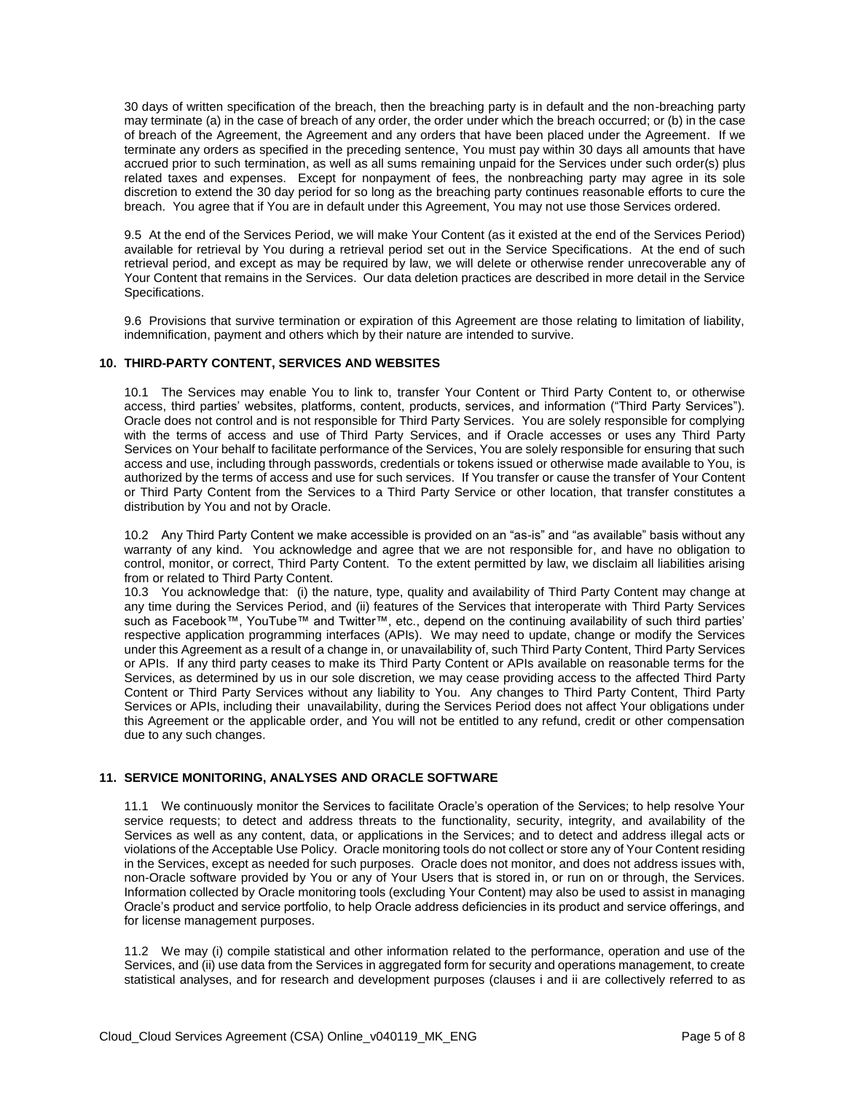30 days of written specification of the breach, then the breaching party is in default and the non-breaching party may terminate (a) in the case of breach of any order, the order under which the breach occurred; or (b) in the case of breach of the Agreement, the Agreement and any orders that have been placed under the Agreement. If we terminate any orders as specified in the preceding sentence, You must pay within 30 days all amounts that have accrued prior to such termination, as well as all sums remaining unpaid for the Services under such order(s) plus related taxes and expenses. Except for nonpayment of fees, the nonbreaching party may agree in its sole discretion to extend the 30 day period for so long as the breaching party continues reasonable efforts to cure the breach. You agree that if You are in default under this Agreement, You may not use those Services ordered.

9.5 At the end of the Services Period, we will make Your Content (as it existed at the end of the Services Period) available for retrieval by You during a retrieval period set out in the Service Specifications. At the end of such retrieval period, and except as may be required by law, we will delete or otherwise render unrecoverable any of Your Content that remains in the Services. Our data deletion practices are described in more detail in the Service Specifications.

9.6 Provisions that survive termination or expiration of this Agreement are those relating to limitation of liability, indemnification, payment and others which by their nature are intended to survive.

#### **10. THIRD-PARTY CONTENT, SERVICES AND WEBSITES**

10.1 The Services may enable You to link to, transfer Your Content or Third Party Content to, or otherwise access, third parties' websites, platforms, content, products, services, and information ("Third Party Services"). Oracle does not control and is not responsible for Third Party Services. You are solely responsible for complying with the terms of access and use of Third Party Services, and if Oracle accesses or uses any Third Party Services on Your behalf to facilitate performance of the Services, You are solely responsible for ensuring that such access and use, including through passwords, credentials or tokens issued or otherwise made available to You, is authorized by the terms of access and use for such services. If You transfer or cause the transfer of Your Content or Third Party Content from the Services to a Third Party Service or other location, that transfer constitutes a distribution by You and not by Oracle.

10.2 Any Third Party Content we make accessible is provided on an "as-is" and "as available" basis without any warranty of any kind. You acknowledge and agree that we are not responsible for, and have no obligation to control, monitor, or correct, Third Party Content. To the extent permitted by law, we disclaim all liabilities arising from or related to Third Party Content.

10.3 You acknowledge that: (i) the nature, type, quality and availability of Third Party Content may change at any time during the Services Period, and (ii) features of the Services that interoperate with Third Party Services such as Facebook™, YouTube™ and Twitter™, etc., depend on the continuing availability of such third parties' respective application programming interfaces (APIs). We may need to update, change or modify the Services under this Agreement as a result of a change in, or unavailability of, such Third Party Content, Third Party Services or APIs. If any third party ceases to make its Third Party Content or APIs available on reasonable terms for the Services, as determined by us in our sole discretion, we may cease providing access to the affected Third Party Content or Third Party Services without any liability to You. Any changes to Third Party Content, Third Party Services or APIs, including their unavailability, during the Services Period does not affect Your obligations under this Agreement or the applicable order, and You will not be entitled to any refund, credit or other compensation due to any such changes.

#### **11. SERVICE MONITORING, ANALYSES AND ORACLE SOFTWARE**

11.1 We continuously monitor the Services to facilitate Oracle's operation of the Services; to help resolve Your service requests; to detect and address threats to the functionality, security, integrity, and availability of the Services as well as any content, data, or applications in the Services; and to detect and address illegal acts or violations of the Acceptable Use Policy. Oracle monitoring tools do not collect or store any of Your Content residing in the Services, except as needed for such purposes. Oracle does not monitor, and does not address issues with, non-Oracle software provided by You or any of Your Users that is stored in, or run on or through, the Services. Information collected by Oracle monitoring tools (excluding Your Content) may also be used to assist in managing Oracle's product and service portfolio, to help Oracle address deficiencies in its product and service offerings, and for license management purposes.

11.2 We may (i) compile statistical and other information related to the performance, operation and use of the Services, and (ii) use data from the Services in aggregated form for security and operations management, to create statistical analyses, and for research and development purposes (clauses i and ii are collectively referred to as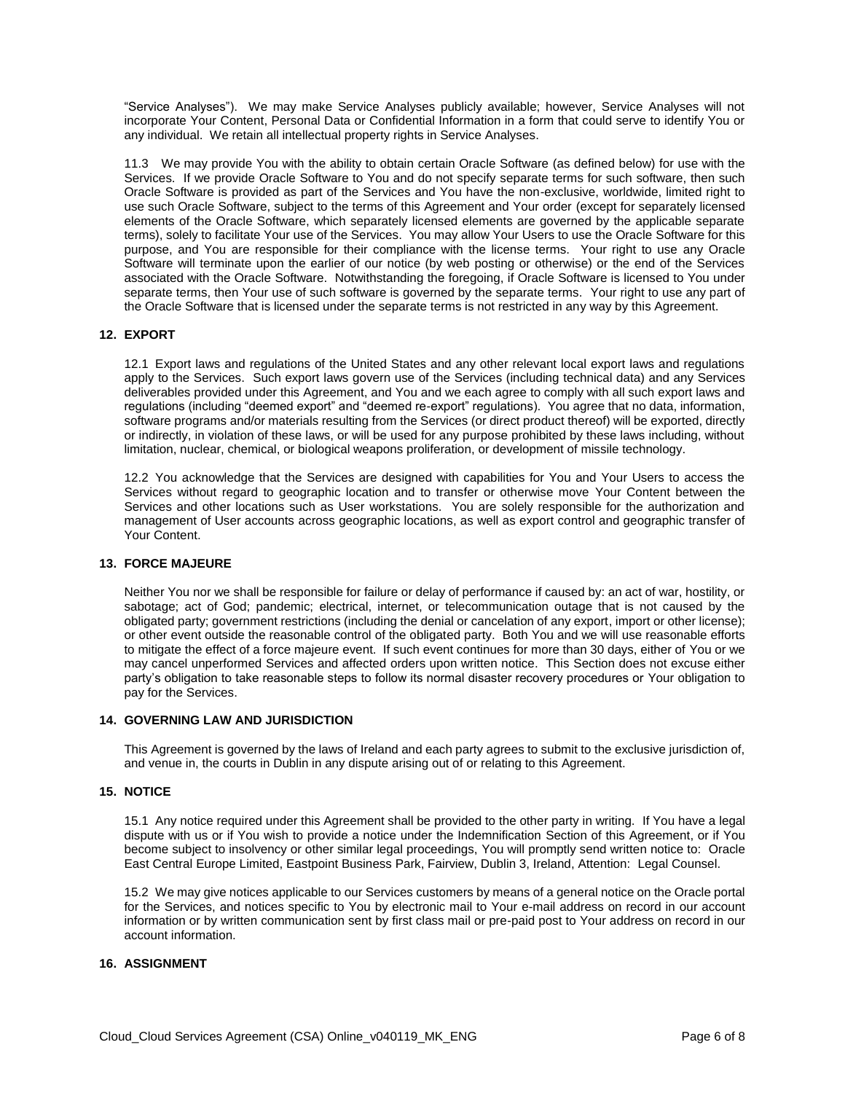"Service Analyses"). We may make Service Analyses publicly available; however, Service Analyses will not incorporate Your Content, Personal Data or Confidential Information in a form that could serve to identify You or any individual. We retain all intellectual property rights in Service Analyses.

11.3 We may provide You with the ability to obtain certain Oracle Software (as defined below) for use with the Services. If we provide Oracle Software to You and do not specify separate terms for such software, then such Oracle Software is provided as part of the Services and You have the non-exclusive, worldwide, limited right to use such Oracle Software, subject to the terms of this Agreement and Your order (except for separately licensed elements of the Oracle Software, which separately licensed elements are governed by the applicable separate terms), solely to facilitate Your use of the Services. You may allow Your Users to use the Oracle Software for this purpose, and You are responsible for their compliance with the license terms. Your right to use any Oracle Software will terminate upon the earlier of our notice (by web posting or otherwise) or the end of the Services associated with the Oracle Software. Notwithstanding the foregoing, if Oracle Software is licensed to You under separate terms, then Your use of such software is governed by the separate terms. Your right to use any part of the Oracle Software that is licensed under the separate terms is not restricted in any way by this Agreement.

# **12. EXPORT**

12.1 Export laws and regulations of the United States and any other relevant local export laws and regulations apply to the Services. Such export laws govern use of the Services (including technical data) and any Services deliverables provided under this Agreement, and You and we each agree to comply with all such export laws and regulations (including "deemed export" and "deemed re-export" regulations). You agree that no data, information, software programs and/or materials resulting from the Services (or direct product thereof) will be exported, directly or indirectly, in violation of these laws, or will be used for any purpose prohibited by these laws including, without limitation, nuclear, chemical, or biological weapons proliferation, or development of missile technology.

12.2 You acknowledge that the Services are designed with capabilities for You and Your Users to access the Services without regard to geographic location and to transfer or otherwise move Your Content between the Services and other locations such as User workstations. You are solely responsible for the authorization and management of User accounts across geographic locations, as well as export control and geographic transfer of Your Content.

#### **13. FORCE MAJEURE**

Neither You nor we shall be responsible for failure or delay of performance if caused by: an act of war, hostility, or sabotage; act of God; pandemic; electrical, internet, or telecommunication outage that is not caused by the obligated party; government restrictions (including the denial or cancelation of any export, import or other license); or other event outside the reasonable control of the obligated party. Both You and we will use reasonable efforts to mitigate the effect of a force majeure event. If such event continues for more than 30 days, either of You or we may cancel unperformed Services and affected orders upon written notice. This Section does not excuse either party's obligation to take reasonable steps to follow its normal disaster recovery procedures or Your obligation to pay for the Services.

#### **14. GOVERNING LAW AND JURISDICTION**

This Agreement is governed by the laws of Ireland and each party agrees to submit to the exclusive jurisdiction of, and venue in, the courts in Dublin in any dispute arising out of or relating to this Agreement.

#### **15. NOTICE**

15.1 Any notice required under this Agreement shall be provided to the other party in writing. If You have a legal dispute with us or if You wish to provide a notice under the Indemnification Section of this Agreement, or if You become subject to insolvency or other similar legal proceedings, You will promptly send written notice to: Oracle East Central Europe Limited, Eastpoint Business Park, Fairview, Dublin 3, Ireland, Attention: Legal Counsel.

15.2 We may give notices applicable to our Services customers by means of a general notice on the Oracle portal for the Services, and notices specific to You by electronic mail to Your e-mail address on record in our account information or by written communication sent by first class mail or pre-paid post to Your address on record in our account information.

# **16. ASSIGNMENT**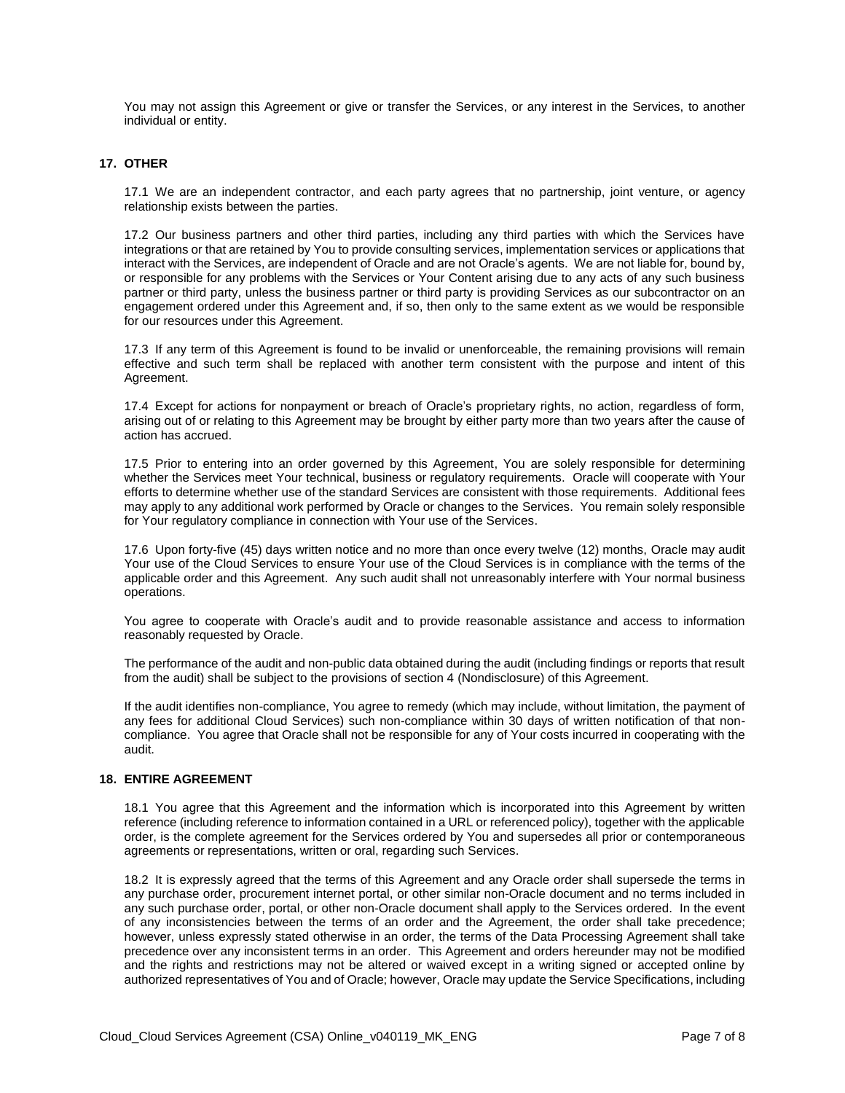You may not assign this Agreement or give or transfer the Services, or any interest in the Services, to another individual or entity.

# **17. OTHER**

17.1 We are an independent contractor, and each party agrees that no partnership, joint venture, or agency relationship exists between the parties.

17.2 Our business partners and other third parties, including any third parties with which the Services have integrations or that are retained by You to provide consulting services, implementation services or applications that interact with the Services, are independent of Oracle and are not Oracle's agents. We are not liable for, bound by, or responsible for any problems with the Services or Your Content arising due to any acts of any such business partner or third party, unless the business partner or third party is providing Services as our subcontractor on an engagement ordered under this Agreement and, if so, then only to the same extent as we would be responsible for our resources under this Agreement.

17.3 If any term of this Agreement is found to be invalid or unenforceable, the remaining provisions will remain effective and such term shall be replaced with another term consistent with the purpose and intent of this Agreement.

17.4 Except for actions for nonpayment or breach of Oracle's proprietary rights, no action, regardless of form, arising out of or relating to this Agreement may be brought by either party more than two years after the cause of action has accrued.

17.5 Prior to entering into an order governed by this Agreement, You are solely responsible for determining whether the Services meet Your technical, business or regulatory requirements. Oracle will cooperate with Your efforts to determine whether use of the standard Services are consistent with those requirements. Additional fees may apply to any additional work performed by Oracle or changes to the Services. You remain solely responsible for Your regulatory compliance in connection with Your use of the Services.

17.6 Upon forty-five (45) days written notice and no more than once every twelve (12) months, Oracle may audit Your use of the Cloud Services to ensure Your use of the Cloud Services is in compliance with the terms of the applicable order and this Agreement. Any such audit shall not unreasonably interfere with Your normal business operations.

You agree to cooperate with Oracle's audit and to provide reasonable assistance and access to information reasonably requested by Oracle.

The performance of the audit and non-public data obtained during the audit (including findings or reports that result from the audit) shall be subject to the provisions of section 4 (Nondisclosure) of this Agreement.

If the audit identifies non-compliance, You agree to remedy (which may include, without limitation, the payment of any fees for additional Cloud Services) such non-compliance within 30 days of written notification of that noncompliance. You agree that Oracle shall not be responsible for any of Your costs incurred in cooperating with the audit.

#### **18. ENTIRE AGREEMENT**

18.1 You agree that this Agreement and the information which is incorporated into this Agreement by written reference (including reference to information contained in a URL or referenced policy), together with the applicable order, is the complete agreement for the Services ordered by You and supersedes all prior or contemporaneous agreements or representations, written or oral, regarding such Services.

18.2 It is expressly agreed that the terms of this Agreement and any Oracle order shall supersede the terms in any purchase order, procurement internet portal, or other similar non-Oracle document and no terms included in any such purchase order, portal, or other non-Oracle document shall apply to the Services ordered. In the event of any inconsistencies between the terms of an order and the Agreement, the order shall take precedence; however, unless expressly stated otherwise in an order, the terms of the Data Processing Agreement shall take precedence over any inconsistent terms in an order. This Agreement and orders hereunder may not be modified and the rights and restrictions may not be altered or waived except in a writing signed or accepted online by authorized representatives of You and of Oracle; however, Oracle may update the Service Specifications, including